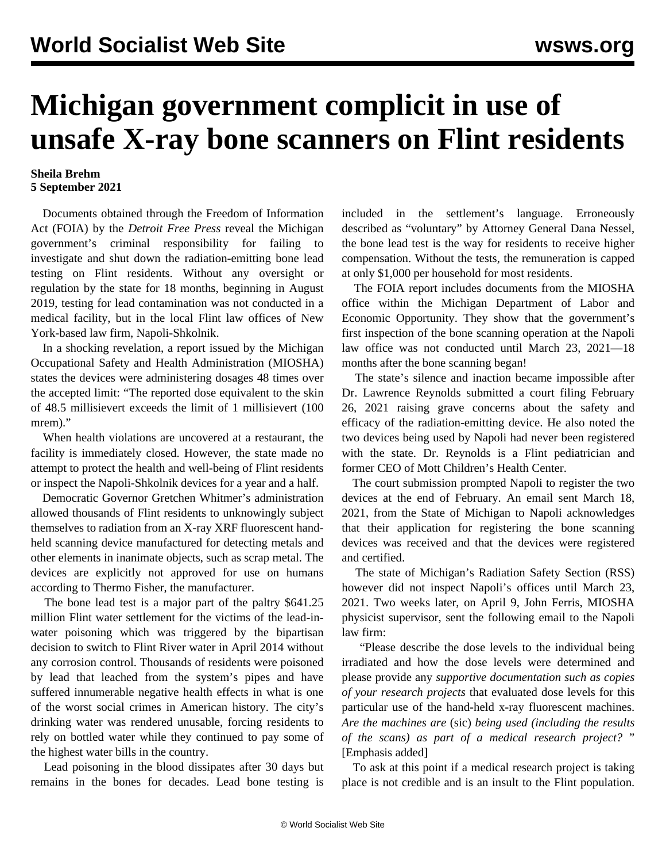## **Michigan government complicit in use of unsafe X-ray bone scanners on Flint residents**

## **Sheila Brehm 5 September 2021**

 Documents obtained through the Freedom of Information Act (FOIA) by the *Detroit Free Press* reveal the Michigan government's criminal responsibility for failing to investigate and shut down the radiation-emitting bone lead testing on Flint residents. Without any oversight or regulation by the state for 18 months, beginning in August 2019, testing for lead contamination was not conducted in a medical facility, but in the local Flint law offices of New York-based law firm, Napoli-Shkolnik.

 In a shocking revelation, a report issued by the Michigan Occupational Safety and Health Administration (MIOSHA) states the devices were administering dosages 48 times over the accepted limit: "The reported dose equivalent to the skin of 48.5 millisievert exceeds the limit of 1 millisievert (100 mrem)."

 When health violations are uncovered at a restaurant, the facility is immediately closed. However, the state made no attempt to protect the health and well-being of Flint residents or inspect the Napoli-Shkolnik devices for a year and a half.

 Democratic Governor Gretchen Whitmer's administration allowed thousands of Flint residents to unknowingly subject themselves to radiation from an X-ray XRF fluorescent handheld scanning device manufactured for detecting metals and other elements in inanimate objects, such as scrap metal. The devices are explicitly not approved for use on humans according to Thermo Fisher, the manufacturer.

 The bone lead test is a major part of the paltry \$641.25 million Flint water settlement for the victims of the lead-inwater poisoning which was triggered by the bipartisan decision to switch to Flint River water in April 2014 without any corrosion control. Thousands of residents were poisoned by lead that leached from the system's pipes and have suffered innumerable negative health effects in what is one of the worst social crimes in American history. The city's drinking water was rendered unusable, forcing residents to rely on bottled water while they continued to pay some of the highest water bills in the country.

 Lead poisoning in the blood dissipates after 30 days but remains in the bones for decades. Lead bone testing is

included in the settlement's language. Erroneously described as "voluntary" by Attorney General Dana Nessel, the bone lead test is the way for residents to receive higher compensation. Without the tests, the remuneration is capped at only \$1,000 per household for most residents.

 The FOIA report includes documents from the MIOSHA office within the Michigan Department of Labor and Economic Opportunity. They show that the government's first inspection of the bone scanning operation at the Napoli law office was not conducted until March 23, 2021—18 months after the bone scanning began!

 The state's silence and inaction became impossible after Dr. Lawrence Reynolds submitted a court filing February 26, 2021 raising grave concerns about the safety and efficacy of the radiation-emitting device. He also noted the two devices being used by Napoli had never been registered with the state. Dr. Reynolds is a Flint pediatrician and former CEO of Mott Children's Health Center.

 The court submission prompted Napoli to register the two devices at the end of February. An email sent March 18, 2021, from the State of Michigan to Napoli acknowledges that their application for registering the bone scanning devices was received and that the devices were registered and certified.

 The state of Michigan's Radiation Safety Section (RSS) however did not inspect Napoli's offices until March 23, 2021. Two weeks later, on April 9, John Ferris, MIOSHA physicist supervisor, sent the following email to the Napoli law firm:

 "Please describe the dose levels to the individual being irradiated and how the dose levels were determined and please provide any *supportive documentation such as copies of your research projects* that evaluated dose levels for this particular use of the hand-held x-ray fluorescent machines. *Are the machines are* (sic) *being used (including the results of the scans) as part of a medical research project?* " [Emphasis added]

 To ask at this point if a medical research project is taking place is not credible and is an insult to the Flint population.